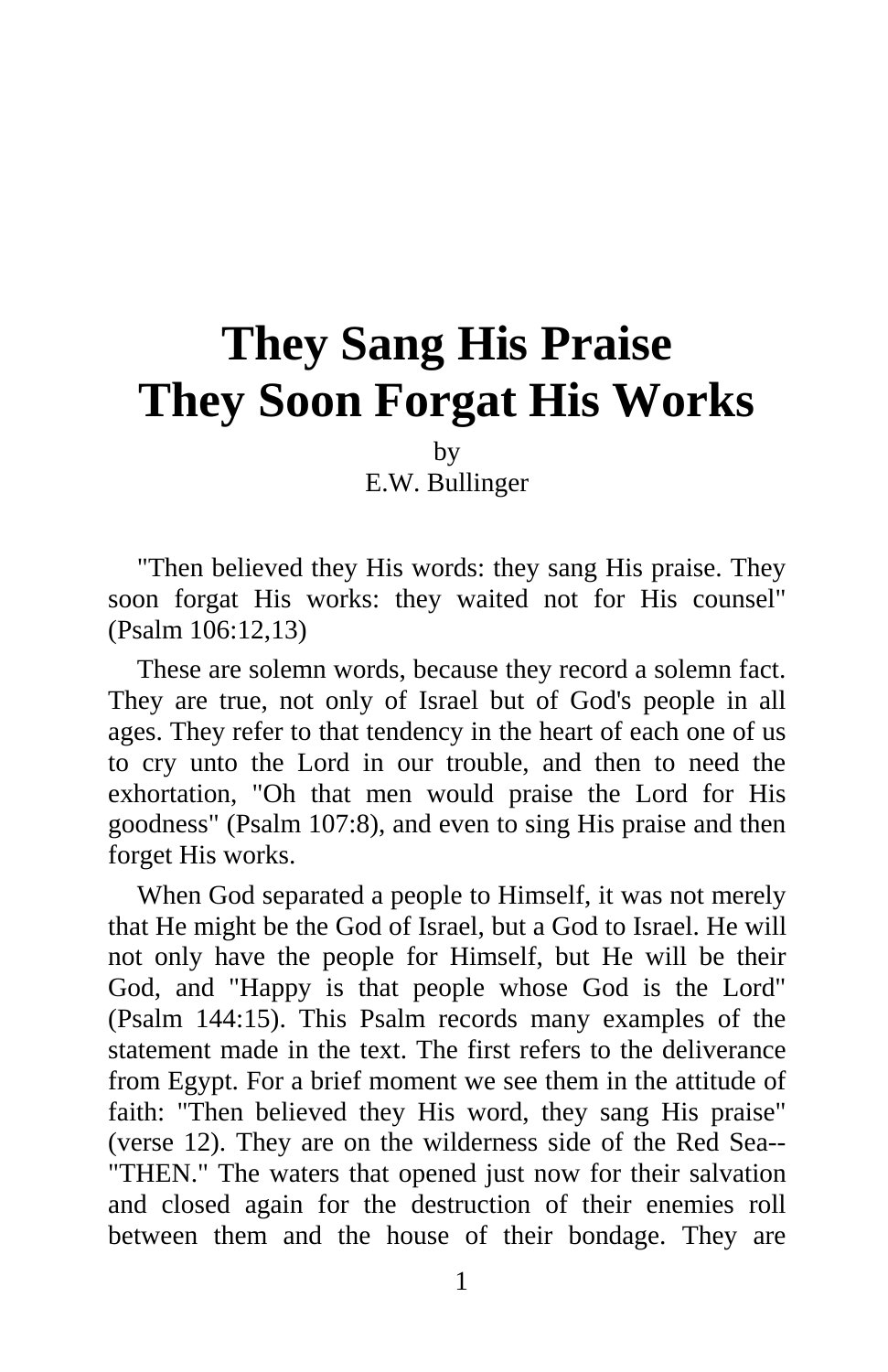## **They Sang His Praise They Soon Forgat His Works**

by

E.W. Bullinger

"Then believed they His words: they sang His praise. They soon forgat His works: they waited not for His counsel" (Psalm 106:12,13)

These are solemn words, because they record a solemn fact. They are true, not only of Israel but of God's people in all ages. They refer to that tendency in the heart of each one of us to cry unto the Lord in our trouble, and then to need the exhortation, "Oh that men would praise the Lord for His goodness" (Psalm 107:8), and even to sing His praise and then forget His works.

When God separated a people to Himself, it was not merely that He might be the God of Israel, but a God to Israel. He will not only have the people for Himself, but He will be their God, and "Happy is that people whose God is the Lord" (Psalm 144:15). This Psalm records many examples of the statement made in the text. The first refers to the deliverance from Egypt. For a brief moment we see them in the attitude of faith: "Then believed they His word, they sang His praise" (verse 12). They are on the wilderness side of the Red Sea-- "THEN." The waters that opened just now for their salvation and closed again for the destruction of their enemies roll between them and the house of their bondage. They are

1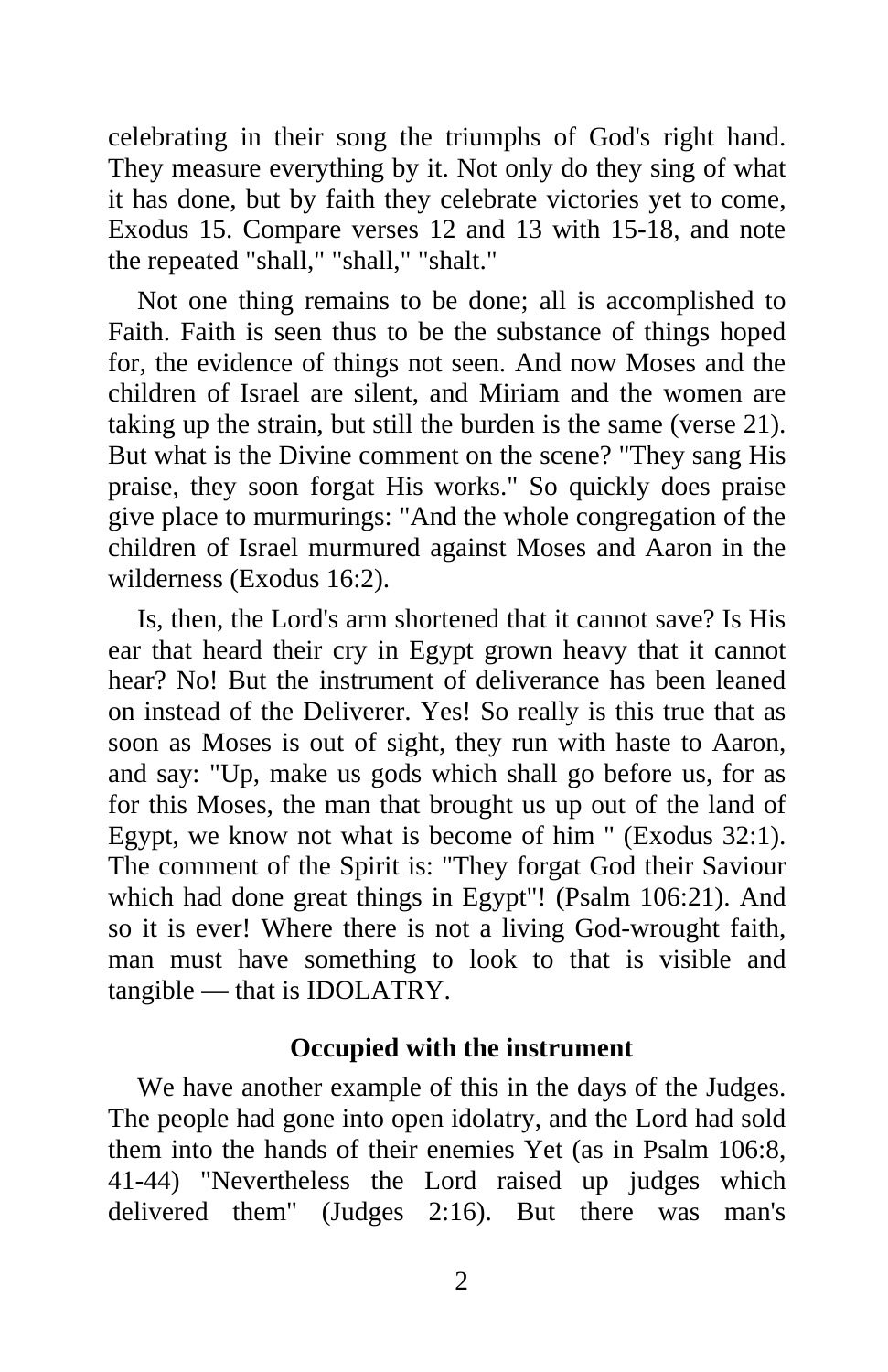celebrating in their song the triumphs of God's right hand. They measure everything by it. Not only do they sing of what it has done, but by faith they celebrate victories yet to come, Exodus 15. Compare verses 12 and 13 with 15-18, and note the repeated "shall," "shall," "shalt."

Not one thing remains to be done; all is accomplished to Faith. Faith is seen thus to be the substance of things hoped for, the evidence of things not seen. And now Moses and the children of Israel are silent, and Miriam and the women are taking up the strain, but still the burden is the same (verse 21). But what is the Divine comment on the scene? "They sang His praise, they soon forgat His works." So quickly does praise give place to murmurings: "And the whole congregation of the children of Israel murmured against Moses and Aaron in the wilderness (Exodus 16:2).

Is, then, the Lord's arm shortened that it cannot save? Is His ear that heard their cry in Egypt grown heavy that it cannot hear? No! But the instrument of deliverance has been leaned on instead of the Deliverer. Yes! So really is this true that as soon as Moses is out of sight, they run with haste to Aaron, and say: "Up, make us gods which shall go before us, for as for this Moses, the man that brought us up out of the land of Egypt, we know not what is become of him " (Exodus 32:1). The comment of the Spirit is: "They forgat God their Saviour which had done great things in Egypt"! (Psalm 106:21). And so it is ever! Where there is not a living God-wrought faith, man must have something to look to that is visible and tangible — that is IDOLATRY.

## **Occupied with the instrument**

We have another example of this in the days of the Judges. The people had gone into open idolatry, and the Lord had sold them into the hands of their enemies Yet (as in Psalm 106:8, 41-44) "Nevertheless the Lord raised up judges which delivered them" (Judges 2:16). But there was man's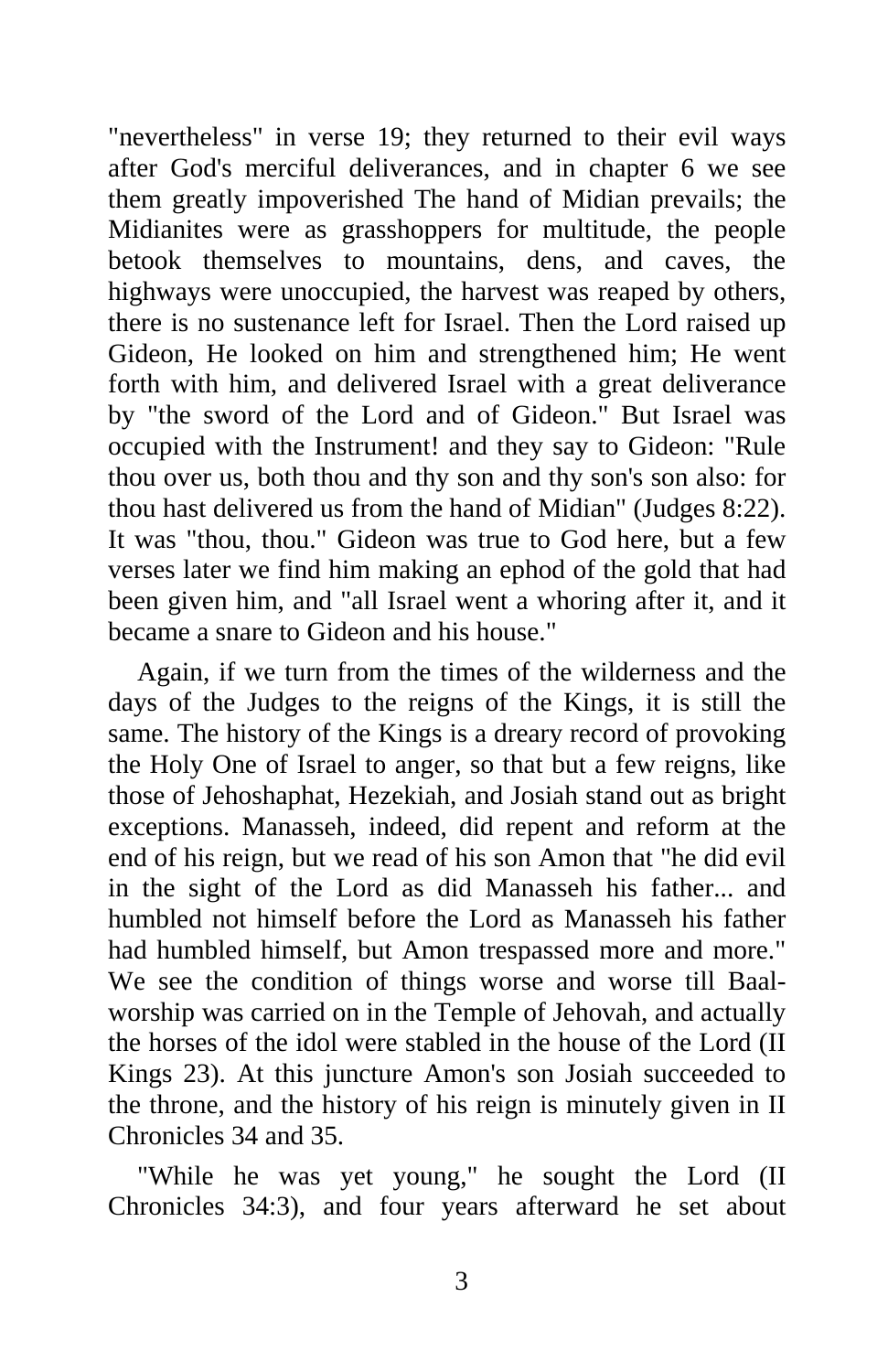"nevertheless" in verse 19; they returned to their evil ways after God's merciful deliverances, and in chapter 6 we see them greatly impoverished The hand of Midian prevails; the Midianites were as grasshoppers for multitude, the people betook themselves to mountains, dens, and caves, the highways were unoccupied, the harvest was reaped by others, there is no sustenance left for Israel. Then the Lord raised up Gideon, He looked on him and strengthened him; He went forth with him, and delivered Israel with a great deliverance by "the sword of the Lord and of Gideon." But Israel was occupied with the Instrument! and they say to Gideon: "Rule thou over us, both thou and thy son and thy son's son also: for thou hast delivered us from the hand of Midian" (Judges 8:22). It was "thou, thou." Gideon was true to God here, but a few verses later we find him making an ephod of the gold that had been given him, and "all Israel went a whoring after it, and it became a snare to Gideon and his house."

Again, if we turn from the times of the wilderness and the days of the Judges to the reigns of the Kings, it is still the same. The history of the Kings is a dreary record of provoking the Holy One of Israel to anger, so that but a few reigns, like those of Jehoshaphat, Hezekiah, and Josiah stand out as bright exceptions. Manasseh, indeed, did repent and reform at the end of his reign, but we read of his son Amon that "he did evil in the sight of the Lord as did Manasseh his father... and humbled not himself before the Lord as Manasseh his father had humbled himself, but Amon trespassed more and more." We see the condition of things worse and worse till Baalworship was carried on in the Temple of Jehovah, and actually the horses of the idol were stabled in the house of the Lord (II Kings 23). At this juncture Amon's son Josiah succeeded to the throne, and the history of his reign is minutely given in II Chronicles 34 and 35.

"While he was yet young," he sought the Lord (II Chronicles 34:3), and four years afterward he set about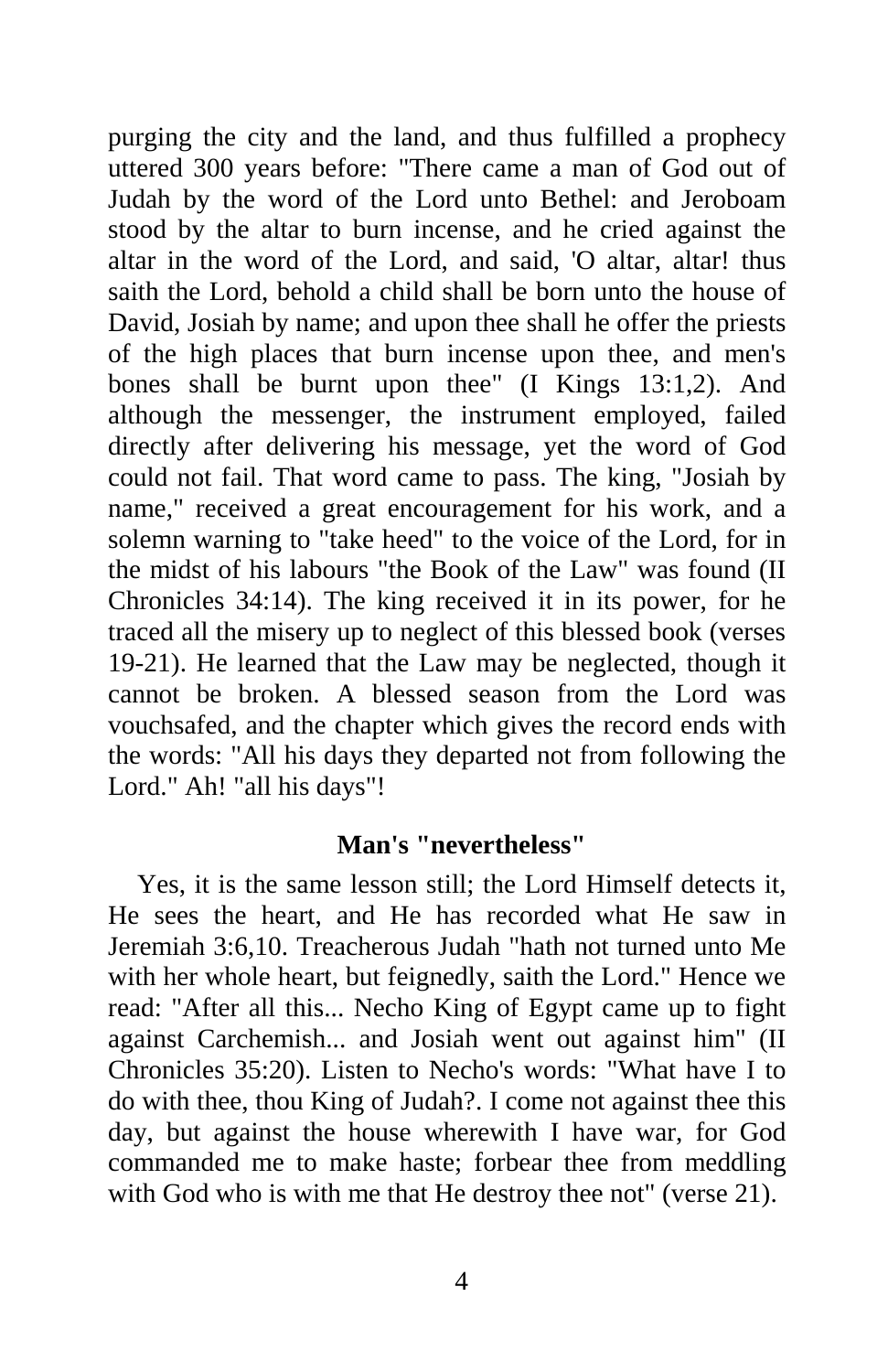purging the city and the land, and thus fulfilled a prophecy uttered 300 years before: "There came a man of God out of Judah by the word of the Lord unto Bethel: and Jeroboam stood by the altar to burn incense, and he cried against the altar in the word of the Lord, and said, 'O altar, altar! thus saith the Lord, behold a child shall be born unto the house of David, Josiah by name; and upon thee shall he offer the priests of the high places that burn incense upon thee, and men's bones shall be burnt upon thee" (I Kings 13:1,2). And although the messenger, the instrument employed, failed directly after delivering his message, yet the word of God could not fail. That word came to pass. The king, "Josiah by name," received a great encouragement for his work, and a solemn warning to "take heed" to the voice of the Lord, for in the midst of his labours "the Book of the Law" was found (II Chronicles 34:14). The king received it in its power, for he traced all the misery up to neglect of this blessed book (verses 19-21). He learned that the Law may be neglected, though it cannot be broken. A blessed season from the Lord was vouchsafed, and the chapter which gives the record ends with the words: "All his days they departed not from following the Lord." Ah! "all his days"!

## **Man's "nevertheless"**

Yes, it is the same lesson still; the Lord Himself detects it, He sees the heart, and He has recorded what He saw in Jeremiah 3:6,10. Treacherous Judah "hath not turned unto Me with her whole heart, but feignedly, saith the Lord." Hence we read: "After all this... Necho King of Egypt came up to fight against Carchemish... and Josiah went out against him" (II Chronicles 35:20). Listen to Necho's words: "What have I to do with thee, thou King of Judah?. I come not against thee this day, but against the house wherewith I have war, for God commanded me to make haste; forbear thee from meddling with God who is with me that He destroy thee not" (verse 21).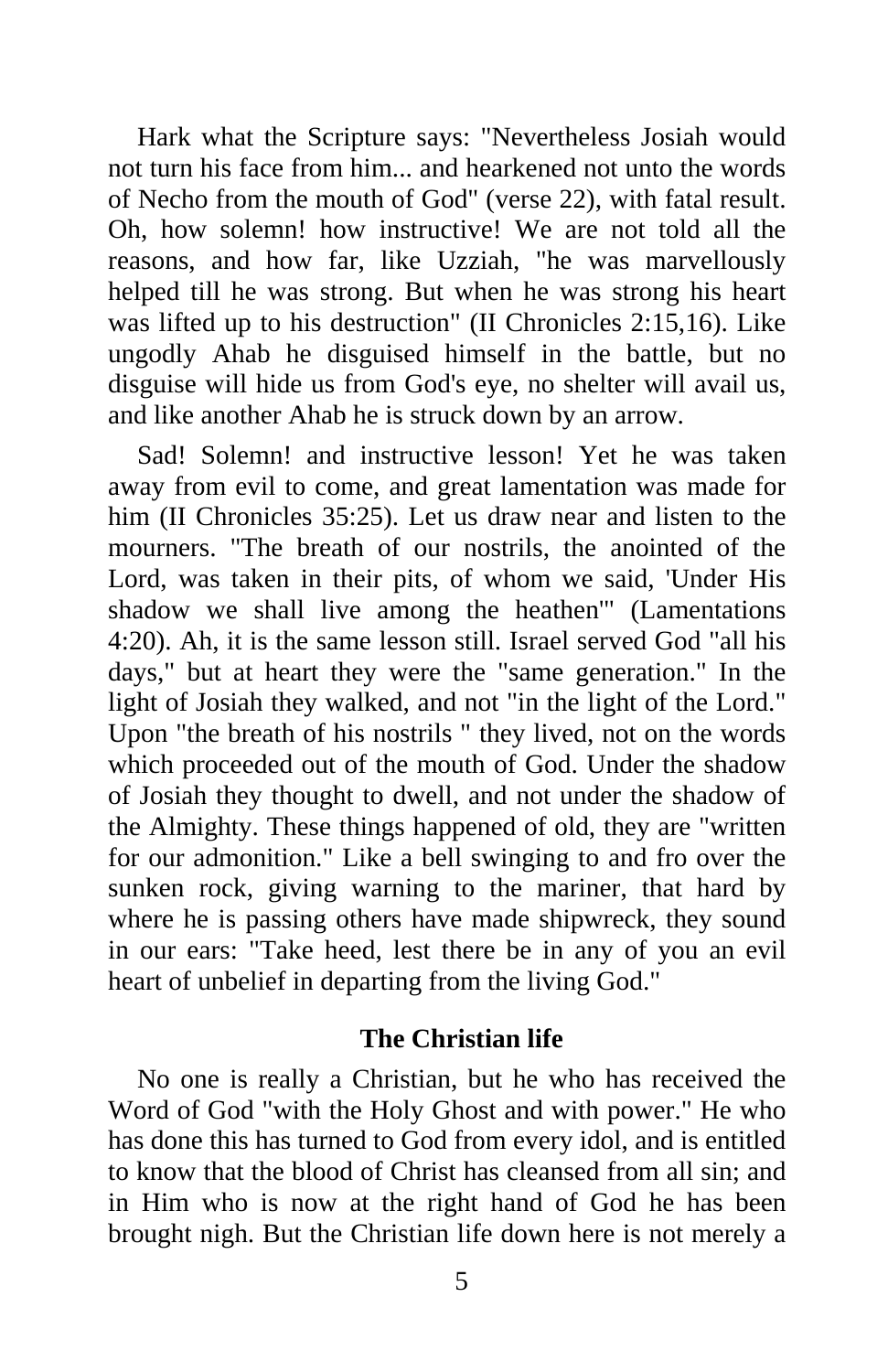Hark what the Scripture says: "Nevertheless Josiah would not turn his face from him... and hearkened not unto the words of Necho from the mouth of God" (verse 22), with fatal result. Oh, how solemn! how instructive! We are not told all the reasons, and how far, like Uzziah, "he was marvellously helped till he was strong. But when he was strong his heart was lifted up to his destruction" (II Chronicles 2:15,16). Like ungodly Ahab he disguised himself in the battle, but no disguise will hide us from God's eye, no shelter will avail us, and like another Ahab he is struck down by an arrow.

Sad! Solemn! and instructive lesson! Yet he was taken away from evil to come, and great lamentation was made for him (II Chronicles 35:25). Let us draw near and listen to the mourners. "The breath of our nostrils, the anointed of the Lord, was taken in their pits, of whom we said, 'Under His shadow we shall live among the heathen'" (Lamentations 4:20). Ah, it is the same lesson still. Israel served God "all his days," but at heart they were the "same generation." In the light of Josiah they walked, and not "in the light of the Lord." Upon "the breath of his nostrils " they lived, not on the words which proceeded out of the mouth of God. Under the shadow of Josiah they thought to dwell, and not under the shadow of the Almighty. These things happened of old, they are "written for our admonition." Like a bell swinging to and fro over the sunken rock, giving warning to the mariner, that hard by where he is passing others have made shipwreck, they sound in our ears: "Take heed, lest there be in any of you an evil heart of unbelief in departing from the living God."

## **The Christian life**

No one is really a Christian, but he who has received the Word of God "with the Holy Ghost and with power." He who has done this has turned to God from every idol, and is entitled to know that the blood of Christ has cleansed from all sin; and in Him who is now at the right hand of God he has been brought nigh. But the Christian life down here is not merely a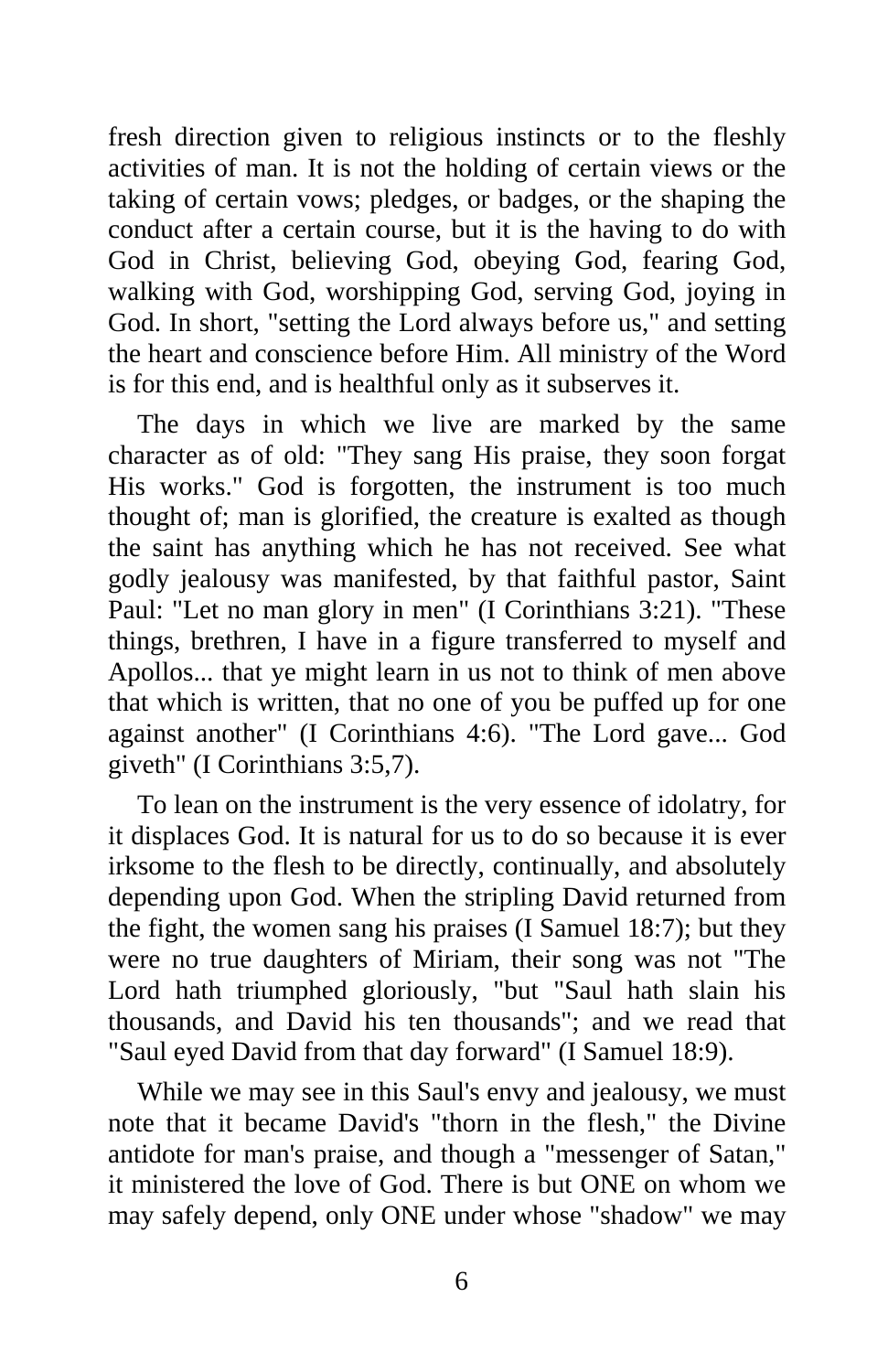fresh direction given to religious instincts or to the fleshly activities of man. It is not the holding of certain views or the taking of certain vows; pledges, or badges, or the shaping the conduct after a certain course, but it is the having to do with God in Christ, believing God, obeying God, fearing God, walking with God, worshipping God, serving God, joying in God. In short, "setting the Lord always before us," and setting the heart and conscience before Him. All ministry of the Word is for this end, and is healthful only as it subserves it.

The days in which we live are marked by the same character as of old: "They sang His praise, they soon forgat His works." God is forgotten, the instrument is too much thought of; man is glorified, the creature is exalted as though the saint has anything which he has not received. See what godly jealousy was manifested, by that faithful pastor, Saint Paul: "Let no man glory in men" (I Corinthians 3:21). "These things, brethren, I have in a figure transferred to myself and Apollos... that ye might learn in us not to think of men above that which is written, that no one of you be puffed up for one against another" (I Corinthians 4:6). "The Lord gave... God giveth" (I Corinthians 3:5,7).

To lean on the instrument is the very essence of idolatry, for it displaces God. It is natural for us to do so because it is ever irksome to the flesh to be directly, continually, and absolutely depending upon God. When the stripling David returned from the fight, the women sang his praises (I Samuel 18:7); but they were no true daughters of Miriam, their song was not "The Lord hath triumphed gloriously, "but "Saul hath slain his thousands, and David his ten thousands"; and we read that "Saul eyed David from that day forward" (I Samuel 18:9).

While we may see in this Saul's envy and jealousy, we must note that it became David's "thorn in the flesh," the Divine antidote for man's praise, and though a "messenger of Satan," it ministered the love of God. There is but ONE on whom we may safely depend, only ONE under whose "shadow" we may